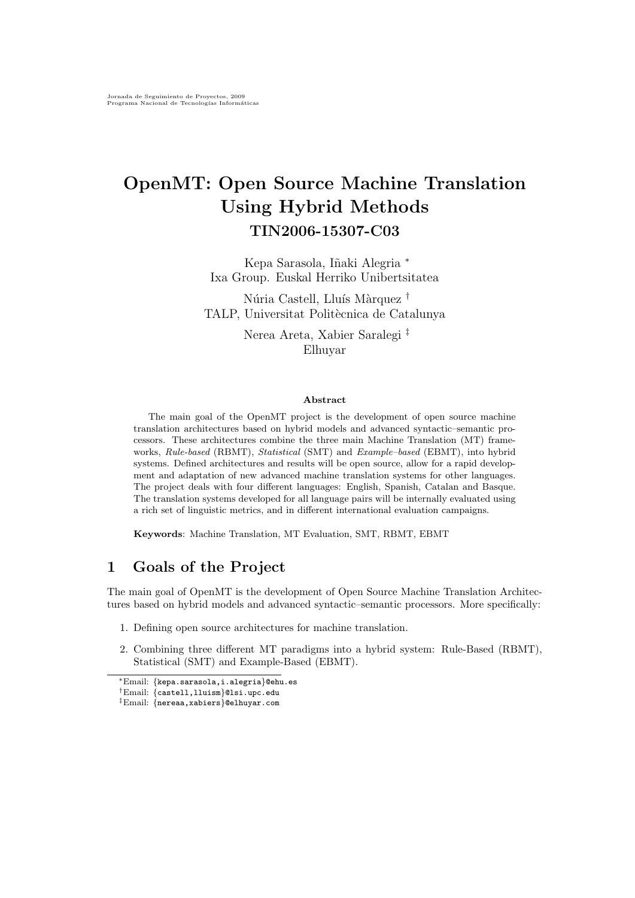# OpenMT: Open Source Machine Translation Using Hybrid Methods TIN2006-15307-C03

Kepa Sarasola, Iñaki Alegria \* Ixa Group. Euskal Herriko Unibertsitatea

Núria Castell, Lluís Màrquez † TALP, Universitat Politècnica de Catalunya

> Nerea Areta, Xabier Saralegi ‡ Elhuyar

#### Abstract

The main goal of the OpenMT project is the development of open source machine translation architectures based on hybrid models and advanced syntactic–semantic processors. These architectures combine the three main Machine Translation (MT) frameworks, Rule-based (RBMT), Statistical (SMT) and Example-based (EBMT), into hybrid systems. Defined architectures and results will be open source, allow for a rapid development and adaptation of new advanced machine translation systems for other languages. The project deals with four different languages: English, Spanish, Catalan and Basque. The translation systems developed for all language pairs will be internally evaluated using a rich set of linguistic metrics, and in different international evaluation campaigns.

Keywords: Machine Translation, MT Evaluation, SMT, RBMT, EBMT

# 1 Goals of the Project

The main goal of OpenMT is the development of Open Source Machine Translation Architectures based on hybrid models and advanced syntactic–semantic processors. More specifically:

- 1. Defining open source architectures for machine translation.
- 2. Combining three different MT paradigms into a hybrid system: Rule-Based (RBMT), Statistical (SMT) and Example-Based (EBMT).

<sup>∗</sup>Email: {kepa.sarasola,i.alegria}@ehu.es

<sup>†</sup>Email: {castell,lluism}@lsi.upc.edu

<sup>‡</sup>Email: {nereaa,xabiers}@elhuyar.com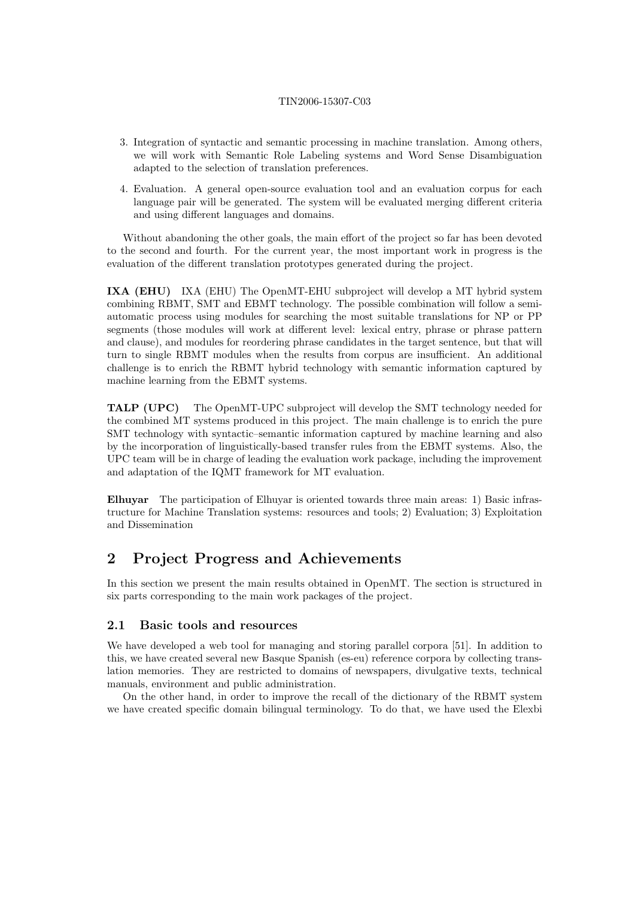- 3. Integration of syntactic and semantic processing in machine translation. Among others, we will work with Semantic Role Labeling systems and Word Sense Disambiguation adapted to the selection of translation preferences.
- 4. Evaluation. A general open-source evaluation tool and an evaluation corpus for each language pair will be generated. The system will be evaluated merging different criteria and using different languages and domains.

Without abandoning the other goals, the main effort of the project so far has been devoted to the second and fourth. For the current year, the most important work in progress is the evaluation of the different translation prototypes generated during the project.

IXA (EHU) IXA (EHU) The OpenMT-EHU subproject will develop a MT hybrid system combining RBMT, SMT and EBMT technology. The possible combination will follow a semiautomatic process using modules for searching the most suitable translations for NP or PP segments (those modules will work at different level: lexical entry, phrase or phrase pattern and clause), and modules for reordering phrase candidates in the target sentence, but that will turn to single RBMT modules when the results from corpus are insufficient. An additional challenge is to enrich the RBMT hybrid technology with semantic information captured by machine learning from the EBMT systems.

TALP (UPC) The OpenMT-UPC subproject will develop the SMT technology needed for the combined MT systems produced in this project. The main challenge is to enrich the pure SMT technology with syntactic–semantic information captured by machine learning and also by the incorporation of linguistically-based transfer rules from the EBMT systems. Also, the UPC team will be in charge of leading the evaluation work package, including the improvement and adaptation of the IQMT framework for MT evaluation.

Elhuyar The participation of Elhuyar is oriented towards three main areas: 1) Basic infrastructure for Machine Translation systems: resources and tools; 2) Evaluation; 3) Exploitation and Dissemination

# 2 Project Progress and Achievements

In this section we present the main results obtained in OpenMT. The section is structured in six parts corresponding to the main work packages of the project.

### <span id="page-1-0"></span>2.1 Basic tools and resources

We have developed a web tool for managing and storing parallel corpora [51]. In addition to this, we have created several new Basque Spanish (es-eu) reference corpora by collecting translation memories. They are restricted to domains of newspapers, divulgative texts, technical manuals, environment and public administration.

On the other hand, in order to improve the recall of the dictionary of the RBMT system we have created specific domain bilingual terminology. To do that, we have used the Elexbi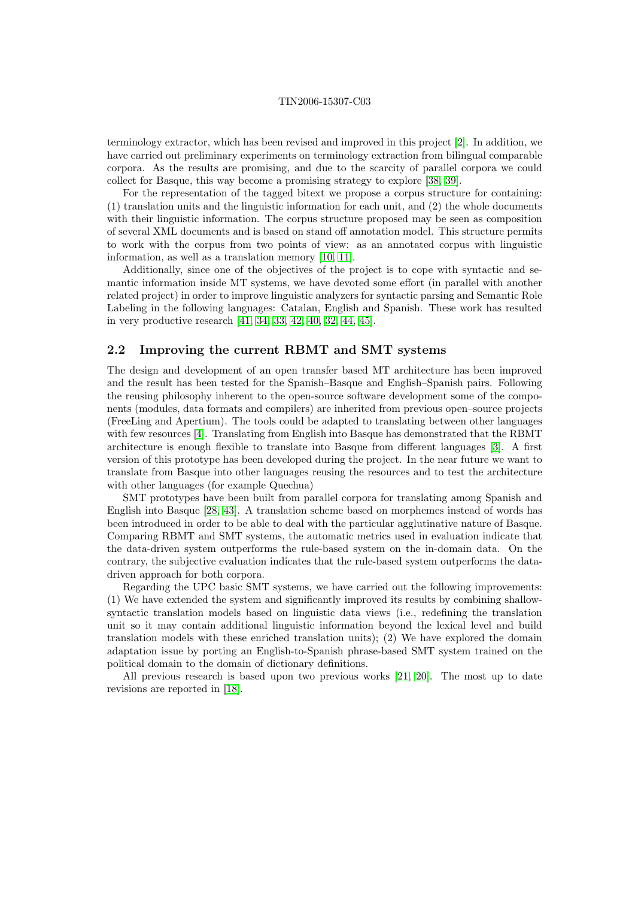terminology extractor, which has been revised and improved in this project [\[2\]](#page-9-0). In addition, we have carried out preliminary experiments on terminology extraction from bilingual comparable corpora. As the results are promising, and due to the scarcity of parallel corpora we could collect for Basque, this way become a promising strategy to explore [\[38,](#page-11-0) [39\]](#page-11-1).

For the representation of the tagged bitext we propose a corpus structure for containing: (1) translation units and the linguistic information for each unit, and (2) the whole documents with their linguistic information. The corpus structure proposed may be seen as composition of several XML documents and is based on stand off annotation model. This structure permits to work with the corpus from two points of view: as an annotated corpus with linguistic information, as well as a translation memory [\[10,](#page-10-0) [11\]](#page-10-1).

Additionally, since one of the objectives of the project is to cope with syntactic and semantic information inside MT systems, we have devoted some effort (in parallel with another related project) in order to improve linguistic analyzers for syntactic parsing and Semantic Role Labeling in the following languages: Catalan, English and Spanish. These work has resulted in very productive research [\[41,](#page-11-2) [34,](#page-11-3) [33,](#page-11-4) [42,](#page-11-5) [40,](#page-11-6) [32,](#page-11-7) [44,](#page-11-8) [45\]](#page-11-9).

## <span id="page-2-0"></span>2.2 Improving the current RBMT and SMT systems

The design and development of an open transfer based MT architecture has been improved and the result has been tested for the Spanish–Basque and English–Spanish pairs. Following the reusing philosophy inherent to the open-source software development some of the components (modules, data formats and compilers) are inherited from previous open–source projects (FreeLing and Apertium). The tools could be adapted to translating between other languages with few resources [\[4\]](#page-9-1). Translating from English into Basque has demonstrated that the RBMT architecture is enough flexible to translate into Basque from different languages [\[3\]](#page-9-2). A first version of this prototype has been developed during the project. In the near future we want to translate from Basque into other languages reusing the resources and to test the architecture with other languages (for example Quechua)

SMT prototypes have been built from parallel corpora for translating among Spanish and English into Basque [\[28,](#page-10-2) [43\]](#page-11-10). A translation scheme based on morphemes instead of words has been introduced in order to be able to deal with the particular agglutinative nature of Basque. Comparing RBMT and SMT systems, the automatic metrics used in evaluation indicate that the data-driven system outperforms the rule-based system on the in-domain data. On the contrary, the subjective evaluation indicates that the rule-based system outperforms the datadriven approach for both corpora.

Regarding the UPC basic SMT systems, we have carried out the following improvements: (1) We have extended the system and significantly improved its results by combining shallowsyntactic translation models based on linguistic data views (i.e., redefining the translation unit so it may contain additional linguistic information beyond the lexical level and build translation models with these enriched translation units); (2) We have explored the domain adaptation issue by porting an English-to-Spanish phrase-based SMT system trained on the political domain to the domain of dictionary definitions.

All previous research is based upon two previous works [\[21,](#page-10-3) [20\]](#page-10-4). The most up to date revisions are reported in [\[18\]](#page-10-5).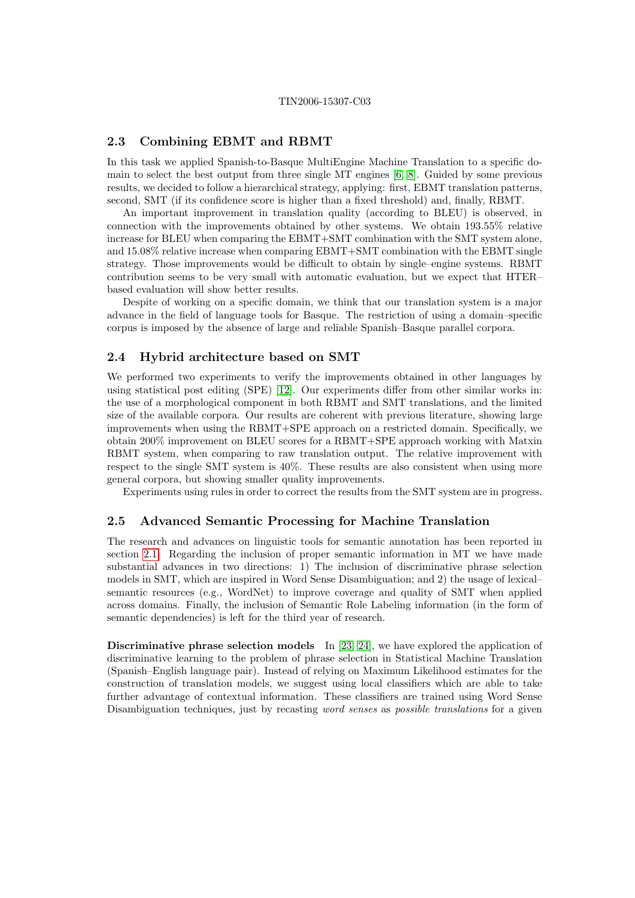### 2.3 Combining EBMT and RBMT

In this task we applied Spanish-to-Basque MultiEngine Machine Translation to a specific domain to select the best output from three single MT engines [\[6,](#page-9-3) [8\]](#page-10-6). Guided by some previous results, we decided to follow a hierarchical strategy, applying: first, EBMT translation patterns, second, SMT (if its confidence score is higher than a fixed threshold) and, finally, RBMT.

An important improvement in translation quality (according to BLEU) is observed, in connection with the improvements obtained by other systems. We obtain 193.55% relative increase for BLEU when comparing the EBMT+SMT combination with the SMT system alone, and 15.08% relative increase when comparing EBMT+SMT combination with the EBMT single strategy. Those improvements would be difficult to obtain by single–engine systems. RBMT contribution seems to be very small with automatic evaluation, but we expect that HTER– based evaluation will show better results.

Despite of working on a specific domain, we think that our translation system is a major advance in the field of language tools for Basque. The restriction of using a domain–specific corpus is imposed by the absence of large and reliable Spanish–Basque parallel corpora.

### 2.4 Hybrid architecture based on SMT

We performed two experiments to verify the improvements obtained in other languages by using statistical post editing (SPE) [\[12\]](#page-10-7). Our experiments differ from other similar works in: the use of a morphological component in both RBMT and SMT translations, and the limited size of the available corpora. Our results are coherent with previous literature, showing large improvements when using the RBMT+SPE approach on a restricted domain. Specifically, we obtain 200% improvement on BLEU scores for a RBMT+SPE approach working with Matxin RBMT system, when comparing to raw translation output. The relative improvement with respect to the single SMT system is 40%. These results are also consistent when using more general corpora, but showing smaller quality improvements.

Experiments using rules in order to correct the results from the SMT system are in progress.

### <span id="page-3-0"></span>2.5 Advanced Semantic Processing for Machine Translation

The research and advances on linguistic tools for semantic annotation has been reported in section [2.1.](#page-1-0) Regarding the inclusion of proper semantic information in MT we have made substantial advances in two directions: 1) The inclusion of discriminative phrase selection models in SMT, which are inspired in Word Sense Disambiguation; and 2) the usage of lexical– semantic resources (e.g., WordNet) to improve coverage and quality of SMT when applied across domains. Finally, the inclusion of Semantic Role Labeling information (in the form of semantic dependencies) is left for the third year of research.

Discriminative phrase selection models In [\[23,](#page-10-8) [24\]](#page-10-9), we have explored the application of discriminative learning to the problem of phrase selection in Statistical Machine Translation (Spanish–English language pair). Instead of relying on Maximum Likelihood estimates for the construction of translation models, we suggest using local classifiers which are able to take further advantage of contextual information. These classifiers are trained using Word Sense Disambiguation techniques, just by recasting *word senses* as *possible translations* for a given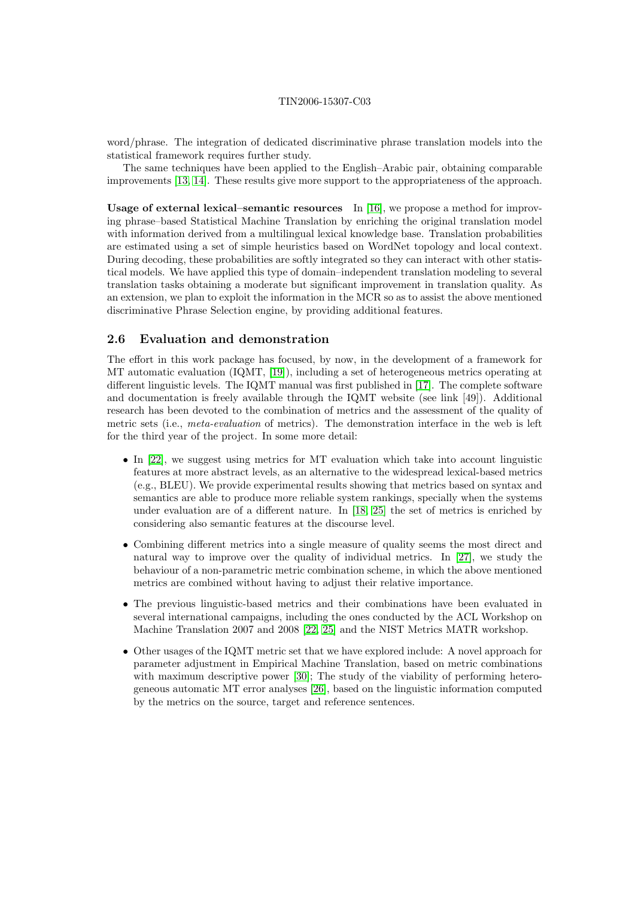word/phrase. The integration of dedicated discriminative phrase translation models into the statistical framework requires further study.

The same techniques have been applied to the English–Arabic pair, obtaining comparable improvements [\[13,](#page-10-10) [14\]](#page-10-11). These results give more support to the appropriateness of the approach.

Usage of external lexical–semantic resources In [\[16\]](#page-10-12), we propose a method for improving phrase–based Statistical Machine Translation by enriching the original translation model with information derived from a multilingual lexical knowledge base. Translation probabilities are estimated using a set of simple heuristics based on WordNet topology and local context. During decoding, these probabilities are softly integrated so they can interact with other statistical models. We have applied this type of domain–independent translation modeling to several translation tasks obtaining a moderate but significant improvement in translation quality. As an extension, we plan to exploit the information in the MCR so as to assist the above mentioned discriminative Phrase Selection engine, by providing additional features.

### <span id="page-4-0"></span>2.6 Evaluation and demonstration

The effort in this work package has focused, by now, in the development of a framework for MT automatic evaluation (IQMT, [\[19\]](#page-10-13)), including a set of heterogeneous metrics operating at different linguistic levels. The IQMT manual was first published in [\[17\]](#page-10-14). The complete software and documentation is freely available through the IQMT website (see link [49]). Additional research has been devoted to the combination of metrics and the assessment of the quality of metric sets (i.e., meta-evaluation of metrics). The demonstration interface in the web is left for the third year of the project. In some more detail:

- In [\[22\]](#page-10-15), we suggest using metrics for MT evaluation which take into account linguistic features at more abstract levels, as an alternative to the widespread lexical-based metrics (e.g., BLEU). We provide experimental results showing that metrics based on syntax and semantics are able to produce more reliable system rankings, specially when the systems under evaluation are of a different nature. In [\[18,](#page-10-5) [25\]](#page-10-16) the set of metrics is enriched by considering also semantic features at the discourse level.
- Combining different metrics into a single measure of quality seems the most direct and natural way to improve over the quality of individual metrics. In [\[27\]](#page-10-17), we study the behaviour of a non-parametric metric combination scheme, in which the above mentioned metrics are combined without having to adjust their relative importance.
- The previous linguistic-based metrics and their combinations have been evaluated in several international campaigns, including the ones conducted by the ACL Workshop on Machine Translation 2007 and 2008 [\[22,](#page-10-15) [25\]](#page-10-16) and the NIST Metrics MATR workshop.
- Other usages of the IQMT metric set that we have explored include: A novel approach for parameter adjustment in Empirical Machine Translation, based on metric combinations with maximum descriptive power [\[30\]](#page-11-11); The study of the viability of performing heterogeneous automatic MT error analyses [\[26\]](#page-10-18), based on the linguistic information computed by the metrics on the source, target and reference sentences.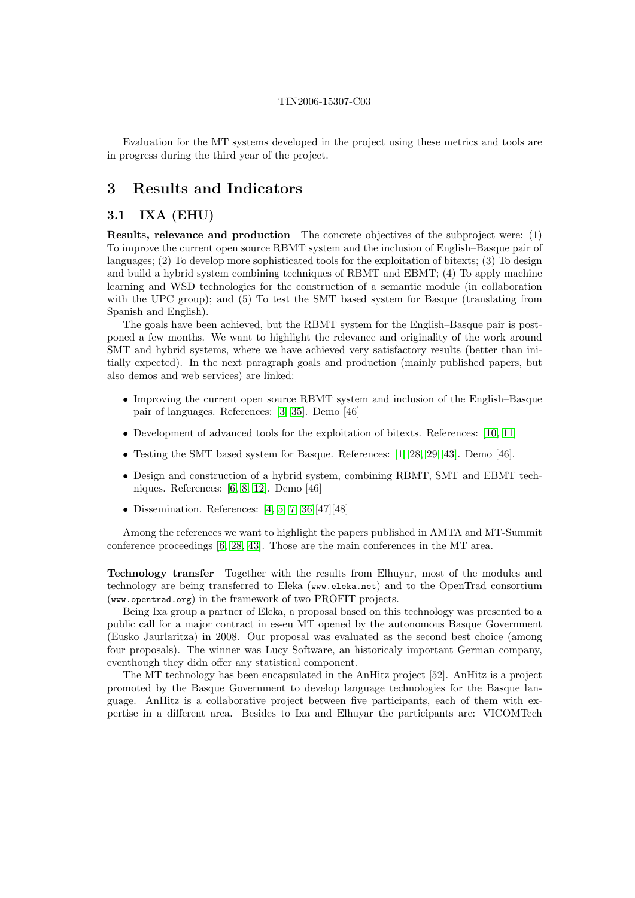Evaluation for the MT systems developed in the project using these metrics and tools are in progress during the third year of the project.

# 3 Results and Indicators

# <span id="page-5-0"></span>3.1 IXA (EHU)

Results, relevance and production The concrete objectives of the subproject were: (1) To improve the current open source RBMT system and the inclusion of English–Basque pair of languages; (2) To develop more sophisticated tools for the exploitation of bitexts; (3) To design and build a hybrid system combining techniques of RBMT and EBMT; (4) To apply machine learning and WSD technologies for the construction of a semantic module (in collaboration with the UPC group); and (5) To test the SMT based system for Basque (translating from Spanish and English).

The goals have been achieved, but the RBMT system for the English–Basque pair is postponed a few months. We want to highlight the relevance and originality of the work around SMT and hybrid systems, where we have achieved very satisfactory results (better than initially expected). In the next paragraph goals and production (mainly published papers, but also demos and web services) are linked:

- Improving the current open source RBMT system and inclusion of the English–Basque pair of languages. References: [\[3,](#page-9-2) [35\]](#page-11-12). Demo [46]
- Development of advanced tools for the exploitation of bitexts. References: [\[10,](#page-10-0) [11\]](#page-10-1)
- Testing the SMT based system for Basque. References: [\[1,](#page-9-4) [28,](#page-10-2) [29,](#page-11-13) [43\]](#page-11-10). Demo [46].
- Design and construction of a hybrid system, combining RBMT, SMT and EBMT techniques. References: [\[6,](#page-9-3) [8,](#page-10-6) [12\]](#page-10-7). Demo [46]
- Dissemination. References:  $[4, 5, 7, 36][47][48]$  $[4, 5, 7, 36][47][48]$  $[4, 5, 7, 36][47][48]$  $[4, 5, 7, 36][47][48]$  $[4, 5, 7, 36][47][48]$

Among the references we want to highlight the papers published in AMTA and MT-Summit conference proceedings [\[6,](#page-9-3) [28,](#page-10-2) [43\]](#page-11-10). Those are the main conferences in the MT area.

Technology transfer Together with the results from Elhuyar, most of the modules and technology are being transferred to Eleka (www.eleka.net) and to the OpenTrad consortium (www.opentrad.org) in the framework of two PROFIT projects.

Being Ixa group a partner of Eleka, a proposal based on this technology was presented to a public call for a major contract in es-eu MT opened by the autonomous Basque Government (Eusko Jaurlaritza) in 2008. Our proposal was evaluated as the second best choice (among four proposals). The winner was Lucy Software, an historicaly important German company, eventhough they didn offer any statistical component.

The MT technology has been encapsulated in the AnHitz project [52]. AnHitz is a project promoted by the Basque Government to develop language technologies for the Basque language. AnHitz is a collaborative project between five participants, each of them with expertise in a different area. Besides to Ixa and Elhuyar the participants are: VICOMTech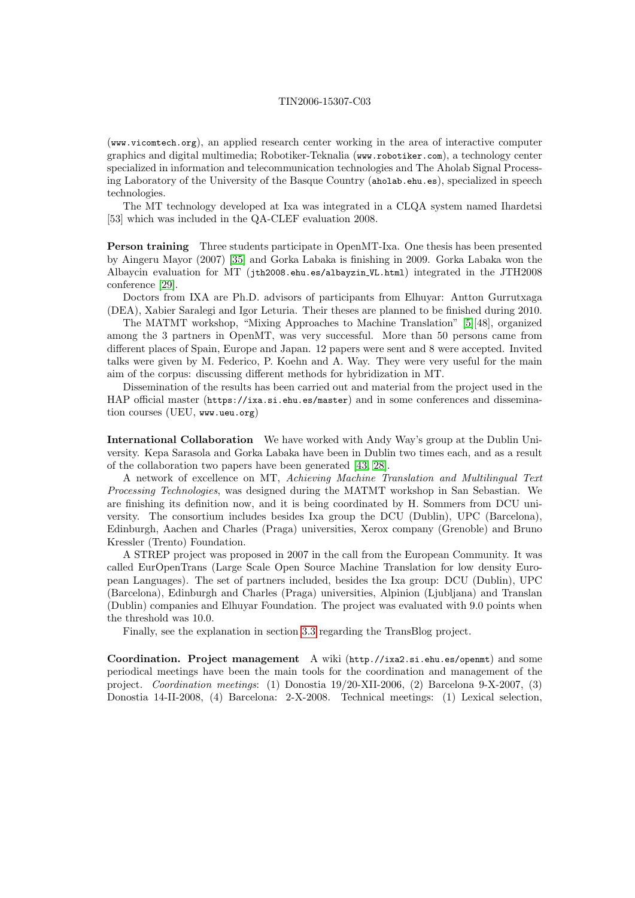(www.vicomtech.org), an applied research center working in the area of interactive computer graphics and digital multimedia; Robotiker-Teknalia (www.robotiker.com), a technology center specialized in information and telecommunication technologies and The Aholab Signal Processing Laboratory of the University of the Basque Country (aholab.ehu.es), specialized in speech technologies.

The MT technology developed at Ixa was integrated in a CLQA system named Ihardetsi [53] which was included in the QA-CLEF evaluation 2008.

Person training Three students participate in OpenMT-Ixa. One thesis has been presented by Aingeru Mayor (2007) [\[35\]](#page-11-12) and Gorka Labaka is finishing in 2009. Gorka Labaka won the Albaycin evaluation for MT (jth2008.ehu.es/albayzin VL.html) integrated in the JTH2008 conference [\[29\]](#page-11-13).

Doctors from IXA are Ph.D. advisors of participants from Elhuyar: Antton Gurrutxaga (DEA), Xabier Saralegi and Igor Leturia. Their theses are planned to be finished during 2010.

The MATMT workshop, "Mixing Approaches to Machine Translation" [\[5\]](#page-9-5)[48], organized among the 3 partners in OpenMT, was very successful. More than 50 persons came from different places of Spain, Europe and Japan. 12 papers were sent and 8 were accepted. Invited talks were given by M. Federico, P. Koehn and A. Way. They were very useful for the main aim of the corpus: discussing different methods for hybridization in MT.

Dissemination of the results has been carried out and material from the project used in the HAP official master (https://ixa.si.ehu.es/master) and in some conferences and dissemination courses (UEU, www.ueu.org)

International Collaboration We have worked with Andy Way's group at the Dublin University. Kepa Sarasola and Gorka Labaka have been in Dublin two times each, and as a result of the collaboration two papers have been generated [\[43,](#page-11-10) [28\]](#page-10-2).

A network of excellence on MT, Achieving Machine Translation and Multilingual Text Processing Technologies, was designed during the MATMT workshop in San Sebastian. We are finishing its definition now, and it is being coordinated by H. Sommers from DCU university. The consortium includes besides Ixa group the DCU (Dublin), UPC (Barcelona), Edinburgh, Aachen and Charles (Praga) universities, Xerox company (Grenoble) and Bruno Kressler (Trento) Foundation.

A STREP project was proposed in 2007 in the call from the European Community. It was called EurOpenTrans (Large Scale Open Source Machine Translation for low density European Languages). The set of partners included, besides the Ixa group: DCU (Dublin), UPC (Barcelona), Edinburgh and Charles (Praga) universities, Alpinion (Ljubljana) and Translan (Dublin) companies and Elhuyar Foundation. The project was evaluated with 9.0 points when the threshold was 10.0.

Finally, see the explanation in section [3.3](#page-8-0) regarding the TransBlog project.

Coordination. Project management A wiki (http.//ixa2.si.ehu.es/openmt) and some periodical meetings have been the main tools for the coordination and management of the project. Coordination meetings: (1) Donostia 19/20-XII-2006, (2) Barcelona 9-X-2007, (3) Donostia 14-II-2008, (4) Barcelona: 2-X-2008. Technical meetings: (1) Lexical selection,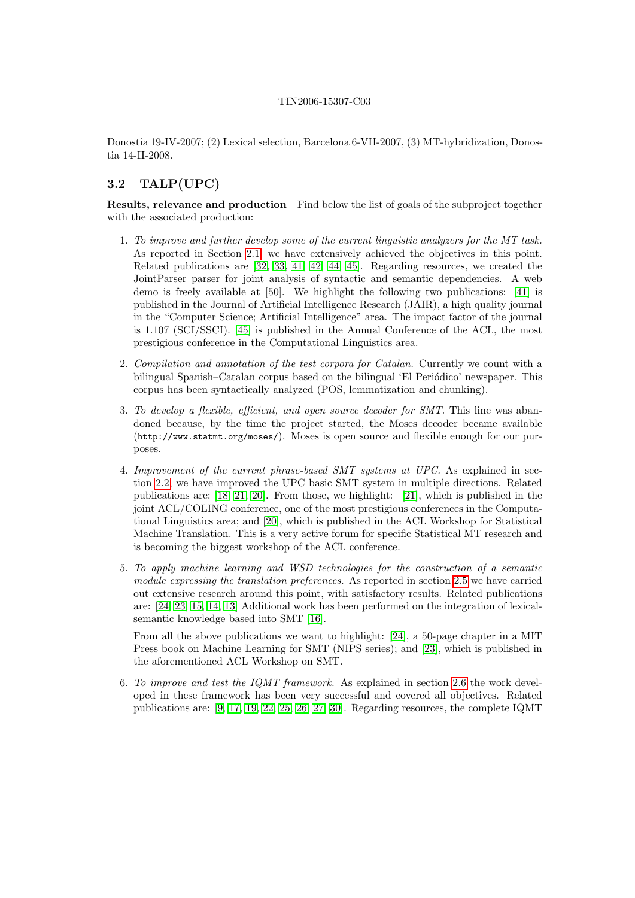Donostia 19-IV-2007; (2) Lexical selection, Barcelona 6-VII-2007, (3) MT-hybridization, Donostia 14-II-2008.

# 3.2 TALP(UPC)

Results, relevance and production Find below the list of goals of the subproject together with the associated production:

- 1. To improve and further develop some of the current linguistic analyzers for the MT task. As reported in Section [2.1,](#page-1-0) we have extensively achieved the objectives in this point. Related publications are [\[32,](#page-11-7) [33,](#page-11-4) [41,](#page-11-2) [42,](#page-11-5) [44,](#page-11-8) [45\]](#page-11-9). Regarding resources, we created the JointParser parser for joint analysis of syntactic and semantic dependencies. A web demo is freely available at [50]. We highlight the following two publications: [\[41\]](#page-11-2) is published in the Journal of Artificial Intelligence Research (JAIR), a high quality journal in the "Computer Science; Artificial Intelligence" area. The impact factor of the journal is 1.107 (SCI/SSCI). [\[45\]](#page-11-9) is published in the Annual Conference of the ACL, the most prestigious conference in the Computational Linguistics area.
- 2. Compilation and annotation of the test corpora for Catalan. Currently we count with a bilingual Spanish–Catalan corpus based on the bilingual 'El Periódico' newspaper. This corpus has been syntactically analyzed (POS, lemmatization and chunking).
- 3. To develop a flexible, efficient, and open source decoder for SMT. This line was abandoned because, by the time the project started, the Moses decoder became available (http://www.statmt.org/moses/). Moses is open source and flexible enough for our purposes.
- 4. Improvement of the current phrase-based SMT systems at UPC. As explained in section [2.2,](#page-2-0) we have improved the UPC basic SMT system in multiple directions. Related publications are: [\[18,](#page-10-5) [21,](#page-10-3) [20\]](#page-10-4). From those, we highlight: [\[21\]](#page-10-3), which is published in the joint ACL/COLING conference, one of the most prestigious conferences in the Computational Linguistics area; and [\[20\]](#page-10-4), which is published in the ACL Workshop for Statistical Machine Translation. This is a very active forum for specific Statistical MT research and is becoming the biggest workshop of the ACL conference.
- 5. To apply machine learning and WSD technologies for the construction of a semantic module expressing the translation preferences. As reported in section [2.5](#page-3-0) we have carried out extensive research around this point, with satisfactory results. Related publications are: [\[24,](#page-10-9) [23,](#page-10-8) [15,](#page-10-19) [14,](#page-10-11) [13\]](#page-10-10) Additional work has been performed on the integration of lexicalsemantic knowledge based into SMT [\[16\]](#page-10-12).

From all the above publications we want to highlight: [\[24\]](#page-10-9), a 50-page chapter in a MIT Press book on Machine Learning for SMT (NIPS series); and [\[23\]](#page-10-8), which is published in the aforementioned ACL Workshop on SMT.

6. To improve and test the IQMT framework. As explained in section [2.6](#page-4-0) the work developed in these framework has been very successful and covered all objectives. Related publications are: [\[9,](#page-10-20) [17,](#page-10-14) [19,](#page-10-13) [22,](#page-10-15) [25,](#page-10-16) [26,](#page-10-18) [27,](#page-10-17) [30\]](#page-11-11). Regarding resources, the complete IQMT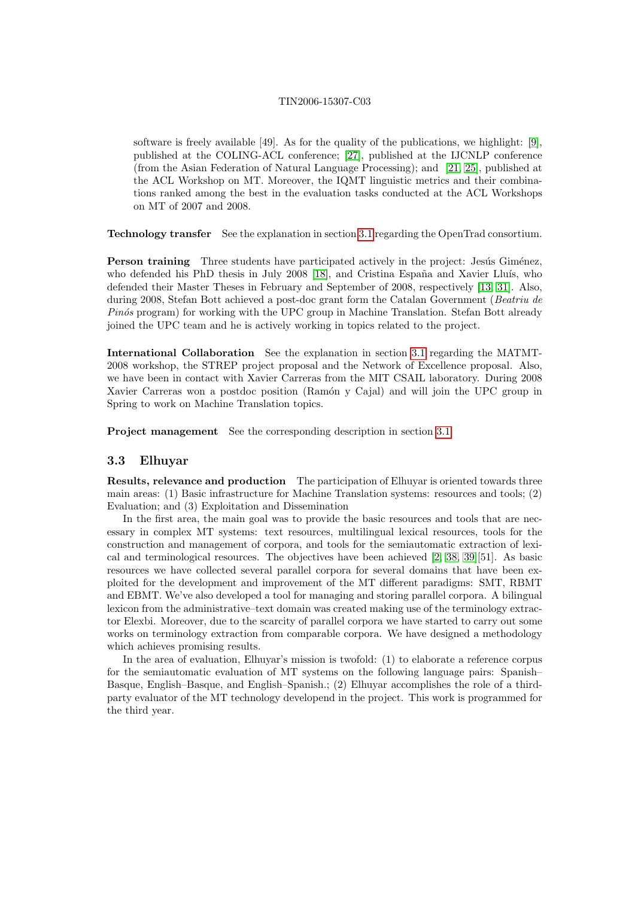software is freely available [49]. As for the quality of the publications, we highlight: [\[9\]](#page-10-20), published at the COLING-ACL conference; [\[27\]](#page-10-17), published at the IJCNLP conference (from the Asian Federation of Natural Language Processing); and [\[21,](#page-10-3) [25\]](#page-10-16), published at the ACL Workshop on MT. Moreover, the IQMT linguistic metrics and their combinations ranked among the best in the evaluation tasks conducted at the ACL Workshops on MT of 2007 and 2008.

Technology transfer See the explanation in section [3.1](#page-5-0) regarding the OpenTrad consortium.

**Person training** Three students have participated actively in the project: Jesús Giménez, who defended his PhD thesis in July 2008 [\[18\]](#page-10-5), and Cristina España and Xavier Lluís, who defended their Master Theses in February and September of 2008, respectively [\[13,](#page-10-10) [31\]](#page-11-15). Also, during 2008, Stefan Bott achieved a post-doc grant form the Catalan Government (Beatriu de  $Pin\acute{o}s$  program) for working with the UPC group in Machine Translation. Stefan Bott already joined the UPC team and he is actively working in topics related to the project.

International Collaboration See the explanation in section [3.1](#page-5-0) regarding the MATMT-2008 workshop, the STREP project proposal and the Network of Excellence proposal. Also, we have been in contact with Xavier Carreras from the MIT CSAIL laboratory. During 2008 Xavier Carreras won a postdoc position (Ramón y Cajal) and will join the UPC group in Spring to work on Machine Translation topics.

Project management See the corresponding description in section [3.1.](#page-5-0)

### <span id="page-8-0"></span>3.3 Elhuyar

Results, relevance and production The participation of Elhuyar is oriented towards three main areas: (1) Basic infrastructure for Machine Translation systems: resources and tools; (2) Evaluation; and (3) Exploitation and Dissemination

In the first area, the main goal was to provide the basic resources and tools that are necessary in complex MT systems: text resources, multilingual lexical resources, tools for the construction and management of corpora, and tools for the semiautomatic extraction of lexical and terminological resources. The objectives have been achieved [\[2,](#page-9-0) [38,](#page-11-0) [39\]](#page-11-1)[51]. As basic resources we have collected several parallel corpora for several domains that have been exploited for the development and improvement of the MT different paradigms: SMT, RBMT and EBMT. We've also developed a tool for managing and storing parallel corpora. A bilingual lexicon from the administrative–text domain was created making use of the terminology extractor Elexbi. Moreover, due to the scarcity of parallel corpora we have started to carry out some works on terminology extraction from comparable corpora. We have designed a methodology which achieves promising results.

In the area of evaluation, Elhuyar's mission is twofold: (1) to elaborate a reference corpus for the semiautomatic evaluation of MT systems on the following language pairs: Spanish– Basque, English–Basque, and English–Spanish.; (2) Elhuyar accomplishes the role of a thirdparty evaluator of the MT technology developend in the project. This work is programmed for the third year.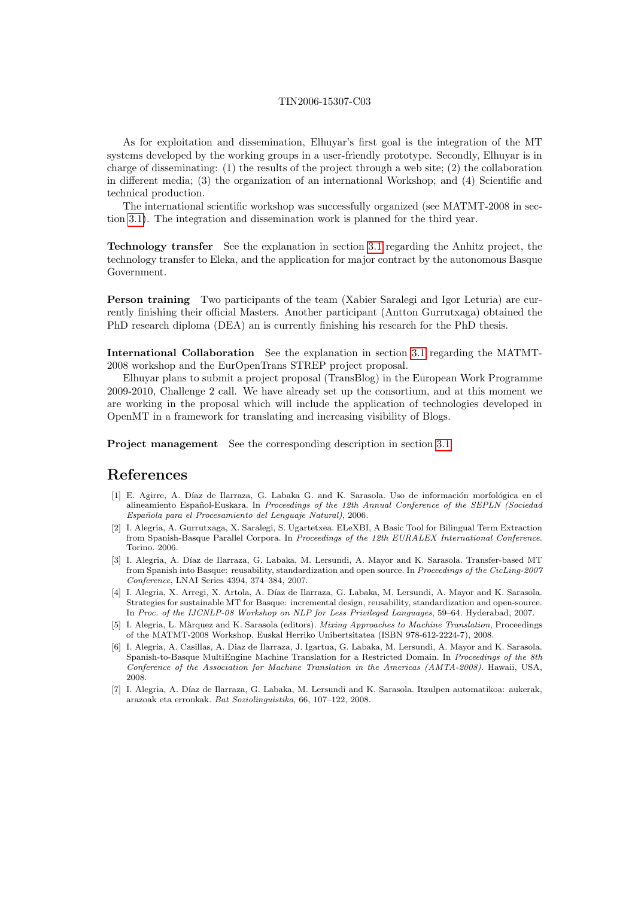As for exploitation and dissemination, Elhuyar's first goal is the integration of the MT systems developed by the working groups in a user-friendly prototype. Secondly, Elhuyar is in charge of disseminating:  $(1)$  the results of the project through a web site;  $(2)$  the collaboration in different media; (3) the organization of an international Workshop; and (4) Scientific and technical production.

The international scientific workshop was successfully organized (see MATMT-2008 in section [3.1\)](#page-5-0). The integration and dissemination work is planned for the third year.

Technology transfer See the explanation in section [3.1](#page-5-0) regarding the Anhitz project, the technology transfer to Eleka, and the application for major contract by the autonomous Basque Government.

Person training Two participants of the team (Xabier Saralegi and Igor Leturia) are currently finishing their official Masters. Another participant (Antton Gurrutxaga) obtained the PhD research diploma (DEA) an is currently finishing his research for the PhD thesis.

International Collaboration See the explanation in section [3.1](#page-5-0) regarding the MATMT-2008 workshop and the EurOpenTrans STREP project proposal.

Elhuyar plans to submit a project proposal (TransBlog) in the European Work Programme 2009-2010, Challenge 2 call. We have already set up the consortium, and at this moment we are working in the proposal which will include the application of technologies developed in OpenMT in a framework for translating and increasing visibility of Blogs.

Project management See the corresponding description in section [3.1.](#page-5-0)

# References

- <span id="page-9-4"></span>[1] E. Agirre, A. Díaz de Ilarraza, G. Labaka G. and K. Sarasola. Uso de información morfológica en el alineamiento Español-Euskara. In Proceedings of the 12th Annual Conference of the SEPLN (Sociedad Española para el Procesamiento del Lenguaje Natural), 2006.
- <span id="page-9-0"></span>[2] I. Alegria, A. Gurrutxaga, X. Saralegi, S. Ugartetxea. ELeXBI, A Basic Tool for Bilingual Term Extraction from Spanish-Basque Parallel Corpora. In Proceedings of the 12th EURALEX International Conference. Torino. 2006.
- <span id="page-9-2"></span>[3] I. Alegria, A. Díaz de Ilarraza, G. Labaka, M. Lersundi, A. Mayor and K. Sarasola. Transfer-based MT from Spanish into Basque: reusability, standardization and open source. In Proceedings of the CicLing-2007 Conference, LNAI Series 4394, 374–384, 2007.
- <span id="page-9-1"></span>[4] I. Alegria, X. Arregi, X. Artola, A. Díaz de Ilarraza, G. Labaka, M. Lersundi, A. Mayor and K. Sarasola. Strategies for sustainable MT for Basque: incremental design, reusability, standardization and open-source. In Proc. of the IJCNLP-08 Workshop on NLP for Less Privileged Languages, 59–64. Hyderabad, 2007.
- <span id="page-9-5"></span>[5] I. Alegria, L. Màrquez and K. Sarasola (editors). Mixing Approaches to Machine Translation, Proceedings of the MATMT-2008 Workshop. Euskal Herriko Unibertsitatea (ISBN 978-612-2224-7), 2008.
- <span id="page-9-3"></span>[6] I. Alegria, A. Casillas, A. Diaz de Ilarraza, J. Igartua, G. Labaka, M. Lersundi, A. Mayor and K. Sarasola. Spanish-to-Basque MultiEngine Machine Translation for a Restricted Domain. In Proceedings of the 8th Conference of the Association for Machine Translation in the Americas (AMTA-2008). Hawaii, USA, 2008.
- <span id="page-9-6"></span>[7] I. Alegria, A. D´ıaz de Ilarraza, G. Labaka, M. Lersundi and K. Sarasola. Itzulpen automatikoa: aukerak, arazoak eta erronkak. Bat Soziolinguistika, 66, 107–122, 2008.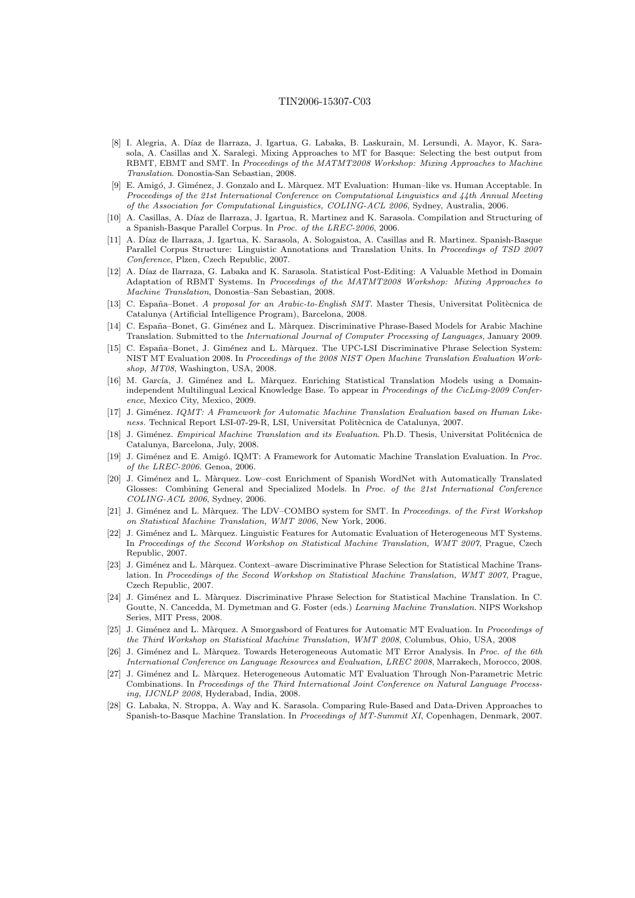- <span id="page-10-6"></span>[8] I. Alegria, A. D´ıaz de Ilarraza, J. Igartua, G. Labaka, B. Laskurain, M. Lersundi, A. Mayor, K. Sarasola, A. Casillas and X. Saralegi. Mixing Approaches to MT for Basque: Selecting the best output from RBMT, EBMT and SMT. In Proceedings of the MATMT2008 Workshop: Mixing Approaches to Machine Translation. Donostia-San Sebastian, 2008.
- <span id="page-10-20"></span>E. Amigó, J. Giménez, J. Gonzalo and L. Màrquez. MT Evaluation: Human–like vs. Human Acceptable. In Proceedings of the 21st International Conference on Computational Linguistics and 44th Annual Meeting of the Association for Computational Linguistics, COLING-ACL 2006, Sydney, Australia, 2006.
- <span id="page-10-0"></span>[10] A. Casillas, A. Díaz de Ilarraza, J. Igartua, R. Martinez and K. Sarasola. Compilation and Structuring of a Spanish-Basque Parallel Corpus. In Proc. of the LREC-2006, 2006.
- <span id="page-10-1"></span>[11] A. Díaz de Ilarraza, J. Igartua, K. Sarasola, A. Sologaistoa, A. Casillas and R. Martinez. Spanish-Basque Parallel Corpus Structure: Linguistic Annotations and Translation Units. In Proceedings of TSD 2007 Conference, Plzen, Czech Republic, 2007.
- <span id="page-10-7"></span>[12] A. D´ıaz de Ilarraza, G. Labaka and K. Sarasola. Statistical Post-Editing: A Valuable Method in Domain Adaptation of RBMT Systems. In Proceedings of the MATMT2008 Workshop: Mixing Approaches to Machine Translation, Donostia–San Sebastian, 2008.
- <span id="page-10-10"></span>[13] C. España–Bonet. A proposal for an Arabic-to-English SMT. Master Thesis, Universitat Politècnica de Catalunya (Artificial Intelligence Program), Barcelona, 2008.
- <span id="page-10-11"></span>[14] C. España–Bonet, G. Giménez and L. Màrquez. Discriminative Phrase-Based Models for Arabic Machine Translation. Submitted to the International Journal of Computer Processing of Languages, January 2009.
- <span id="page-10-19"></span>[15] C. España–Bonet, J. Giménez and L. Màrquez. The UPC-LSI Discriminative Phrase Selection System: NIST MT Evaluation 2008. In Proceedings of the 2008 NIST Open Machine Translation Evaluation Workshop, MT08, Washington, USA, 2008.
- <span id="page-10-12"></span>[16] M. García, J. Giménez and L. Màrquez. Enriching Statistical Translation Models using a Domainindependent Multilingual Lexical Knowledge Base. To appear in Proceedings of the CicLing-2009 Conference, Mexico City, Mexico, 2009.
- <span id="page-10-14"></span>[17] J. Giménez. IQMT: A Framework for Automatic Machine Translation Evaluation based on Human Likeness. Technical Report LSI-07-29-R, LSI, Universitat Politècnica de Catalunya, 2007.
- <span id="page-10-5"></span>[18] J. Giménez. Empirical Machine Translation and its Evaluation. Ph.D. Thesis, Universitat Politécnica de Catalunya, Barcelona, July, 2008.
- <span id="page-10-13"></span>[19] J. Giménez and E. Amigó. IQMT: A Framework for Automatic Machine Translation Evaluation. In Proc. of the LREC-2006. Genoa, 2006.
- <span id="page-10-4"></span>[20] J. Giménez and L. Màrquez. Low–cost Enrichment of Spanish WordNet with Automatically Translated Glosses: Combining General and Specialized Models. In Proc. of the 21st International Conference COLING-ACL 2006, Sydney, 2006.
- <span id="page-10-3"></span>[21] J. Giménez and L. Màrquez. The LDV–COMBO system for SMT. In Proceedings. of the First Workshop on Statistical Machine Translation, WMT 2006, New York, 2006.
- <span id="page-10-15"></span>[22] J. Gim´enez and L. M`arquez. Linguistic Features for Automatic Evaluation of Heterogeneous MT Systems. In Proceedings of the Second Workshop on Statistical Machine Translation, WMT 2007, Prague, Czech Republic, 2007.
- <span id="page-10-8"></span>[23] J. Giménez and L. Màrquez. Context–aware Discriminative Phrase Selection for Statistical Machine Translation. In Proceedings of the Second Workshop on Statistical Machine Translation, WMT 2007, Prague, Czech Republic, 2007.
- <span id="page-10-9"></span>[24] J. Gim´enez and L. M`arquez. Discriminative Phrase Selection for Statistical Machine Translation. In C. Goutte, N. Cancedda, M. Dymetman and G. Foster (eds.) Learning Machine Translation. NIPS Workshop Series, MIT Press, 2008.
- <span id="page-10-16"></span>[25] J. Giménez and L. Màrquez. A Smorgasbord of Features for Automatic MT Evaluation. In Proceedings of the Third Workshop on Statistical Machine Translation, WMT 2008, Columbus, Ohio, USA, 2008
- <span id="page-10-18"></span>J. Giménez and L. Màrquez. Towards Heterogeneous Automatic MT Error Analysis. In Proc. of the 6th International Conference on Language Resources and Evaluation, LREC 2008, Marrakech, Morocco, 2008.
- <span id="page-10-17"></span>[27] J. Giménez and L. Màrquez. Heterogeneous Automatic MT Evaluation Through Non-Parametric Metric Combinations. In Proceedings of the Third International Joint Conference on Natural Language Processing, IJCNLP 2008, Hyderabad, India, 2008.
- <span id="page-10-2"></span>[28] G. Labaka, N. Stroppa, A. Way and K. Sarasola. Comparing Rule-Based and Data-Driven Approaches to Spanish-to-Basque Machine Translation. In Proceedings of MT-Summit XI, Copenhagen, Denmark, 2007.